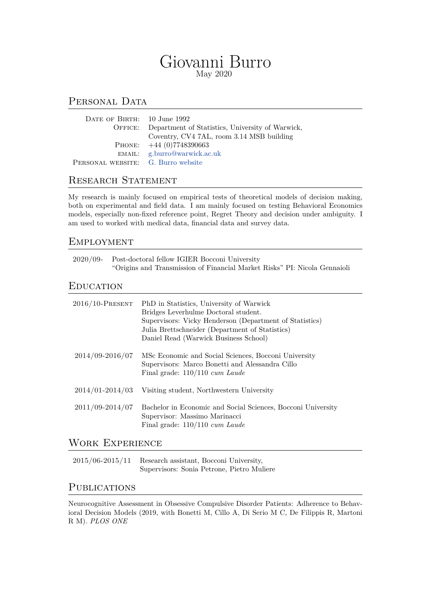# Giovanni Burro May 2020

## PERSONAL DATA

| DATE OF BIRTH: 10 June 1992        |                                                          |
|------------------------------------|----------------------------------------------------------|
|                                    | OFFICE: Department of Statistics, University of Warwick, |
|                                    | Coventry, CV4 7AL, room 3.14 MSB building                |
|                                    | PHONE: $+44(0)7748390663$                                |
|                                    | EMAIL: g.burro@warwick.ac.uk                             |
| PERSONAL WEBSITE: G. Burro website |                                                          |

# RESEARCH STATEMENT

My research is mainly f[ocused on empiric](https://warwick.ac.uk/fac/sci/statistics/staff/research_students/burro/)al tests of theoretical models of decision making, both on experimental and field data. I am mainly focused on testing Behavioral Economics models, especially non-fixed reference point, Regret Theory and decision under ambiguity. I am used to worked with medical data, financial data and survey data.

### **EMPLOYMENT**

| $2020/09$ - | Post-doctoral fellow IGIER Bocconi University                             |
|-------------|---------------------------------------------------------------------------|
|             | "Origins and Transmission of Financial Market Risks" PI: Nicola Gennaioli |

### **EDUCATION**

| $2016/10$ -PRESENT  | PhD in Statistics, University of Warwick<br>Bridges Leverhulme Doctoral student.<br>Supervisors: Vicky Henderson (Department of Statistics)<br>Julia Brettschneider (Department of Statistics)<br>Daniel Read (Warwick Business School) |
|---------------------|-----------------------------------------------------------------------------------------------------------------------------------------------------------------------------------------------------------------------------------------|
| $2014/09 - 2016/07$ | MSc Economic and Social Sciences, Bocconi University<br>Supervisors: Marco Bonetti and Alessandra Cillo<br>Final grade: $110/110$ cum Laude                                                                                             |
| $2014/01 - 2014/03$ | Visiting student, Northwestern University                                                                                                                                                                                               |
| $2011/09 - 2014/07$ | Bachelor in Economic and Social Sciences, Bocconi University<br>Supervisor: Massimo Marinacci<br>Final grade: $110/110$ cum Laude                                                                                                       |

### Work Experience

2015/06-2015/11 Research assistant, Bocconi University, Supervisors: Sonia Petrone, Pietro Muliere

## **PUBLICATIONS**

Neurocognitive Assessment in Obsessive Compulsive Disorder Patients: Adherence to Behavioral Decision Models (2019, with Bonetti M, Cillo A, Di Serio M C, De Filippis R, Martoni R M). *PLOS ONE*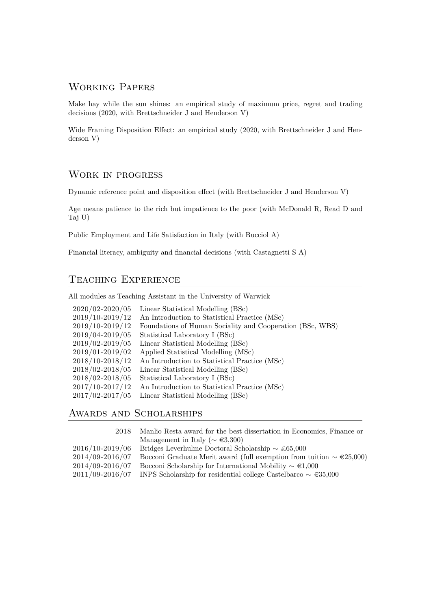## Working Papers

Make hay while the sun shines: an empirical study of maximum price, regret and trading decisions (2020, with Brettschneider J and Henderson V)

Wide Framing Disposition Effect: an empirical study (2020, with Brettschneider J and Henderson V)

### Work in progress

Dynamic reference point and disposition effect (with Brettschneider J and Henderson V)

Age means patience to the rich but impatience to the poor (with McDonald R, Read D and Taj U)

Public Employment and Life Satisfaction in Italy (with Bucciol A)

Financial literacy, ambiguity and financial decisions (with Castagnetti S A)

### Teaching Experience

All modules as Teaching Assistant in the University of Warwick

| 2020/02-2020/05 | Linear Statistical Modelling (BSc)                        |
|-----------------|-----------------------------------------------------------|
| 2019/10-2019/12 | An Introduction to Statistical Practice (MSc)             |
| 2019/10-2019/12 | Foundations of Human Sociality and Cooperation (BSc, WBS) |
| 2019/04-2019/05 | Statistical Laboratory I (BSc)                            |
| 2019/02-2019/05 | Linear Statistical Modelling (BSc)                        |
| 2019/01-2019/02 | Applied Statistical Modelling (MSc)                       |
| 2018/10-2018/12 | An Introduction to Statistical Practice (MSc)             |
| 2018/02-2018/05 | Linear Statistical Modelling (BSc)                        |
| 2018/02-2018/05 | Statistical Laboratory I (BSc)                            |
| 2017/10-2017/12 | An Introduction to Statistical Practice (MSc)             |
| 2017/02-2017/05 | Linear Statistical Modelling (BSc)                        |

# Awards and Scholarships

| 2018                | Manlio Resta award for the best dissertation in Economics, Finance or              |  |
|---------------------|------------------------------------------------------------------------------------|--|
|                     | Management in Italy ( $\sim \epsilon 3,300$ )                                      |  |
| $2016/10 - 2019/06$ | Bridges Leverhulme Doctoral Scholarship $\sim \pounds 65,000$                      |  |
| 2014/09-2016/07     | Bocconi Graduate Merit award (full exemption from tuition $\sim \epsilon 25,000$ ) |  |
| 2014/09-2016/07     | Bocconi Scholarship for International Mobility $\sim \epsilon 1.000$               |  |
| $2011/09 - 2016/07$ | INPS Scholarship for residential college Castelbarco $\sim \epsilon 35,000$        |  |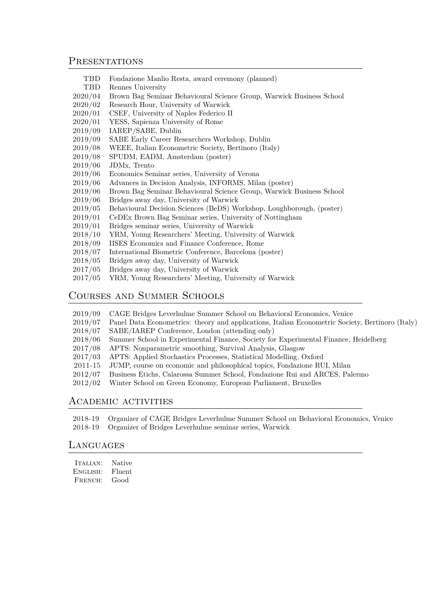#### **PRESENTATIONS**

- TBD Fondazione Manlio Resta, award ceremony (planned)
- TBD Rennes University
- 2020/04 Brown Bag Seminar Behavioural Science Group, Warwick Business School
- 2020/02 Research Hour, University of Warwick
- 2020/01 CSEF, University of Naples Federico II
- 2020/01 YESS, Sapienza University of Rome
- 2019/09 IAREP/SABE, Dublin
- 2019/09 SABE Early Career Researchers Workshop, Dublin
- 2019/08 WEEE, Italian Econometric Society, Bertinoro (Italy)
- 2019/08 SPUDM, EADM, Amsterdam (poster)
- 2019/06 JDMx, Trento
- 2019/06 Economics Seminar series, University of Verona
- 2019/06 Advances in Decision Analysis, INFORMS, Milan (poster)
- 2019/06 Brown Bag Seminar Behavioural Science Group, Warwick Business School
- 2019/06 Bridges away day, University of Warwick
- 2019/05 Behavioural Decision Sciences (BeDS) Workshop, Loughborough, (poster)
- 2019/01 CeDEx Brown Bag Seminar series, University of Nottingham
- 2019/01 Bridges seminar series, University of Warwick
- 2018/10 YRM, Young Researchers' Meeting, University of Warwick
- 2018/09 IISES Economics and Finance Conference, Rome
- 2018/07 International Biometric Conference, Barcelona (poster)
- 2018/05 Bridges away day, University of Warwick
- 2017/05 Bridges away day, University of Warwick
- 2017/05 YRM, Young Researchers' Meeting, University of Warwick

#### Courses and Summer Schools

- 2019/09 CAGE Bridges Leverhulme Summer School on Behavioral Economics, Venice
- 2019/07 Panel Data Econometrics: theory and applications, Italian Econometric Society, Bertinoro (Italy)
- 2018/07 SABE/IAREP Conference, London (attending only)
- 2018/06 Summer School in Experimental Finance, Society for Experimental Finance, Heidelberg
- 2017/08 APTS: Nonparametric smoothing, Survival Analysis, Glasgow
- 2017/03 APTS: Applied Stochastics Processes, Statistical Modelling, Oxford
- 2011-15 JUMP, course on economic and philosophical topics, Fondazione RUI, Milan
- 2012/07 Business Etichs, Calarossa Summer School, Fondazione Rui and ARCES, Palermo
- 2012/02 Winter School on Green Economy, European Parliament, Bruxelles

#### Academic activities

2018-19 Organizer of CAGE Bridges Leverhulme Summer School on Behavioral Economics, Venice 2018-19 Organizer of Bridges Leverhulme seminar series, Warwick

#### **LANGUAGES**

| <b>TALIAN:</b> | Native |
|----------------|--------|
| ENGLISH:       | Fluent |
| FRENCH:        | Good   |